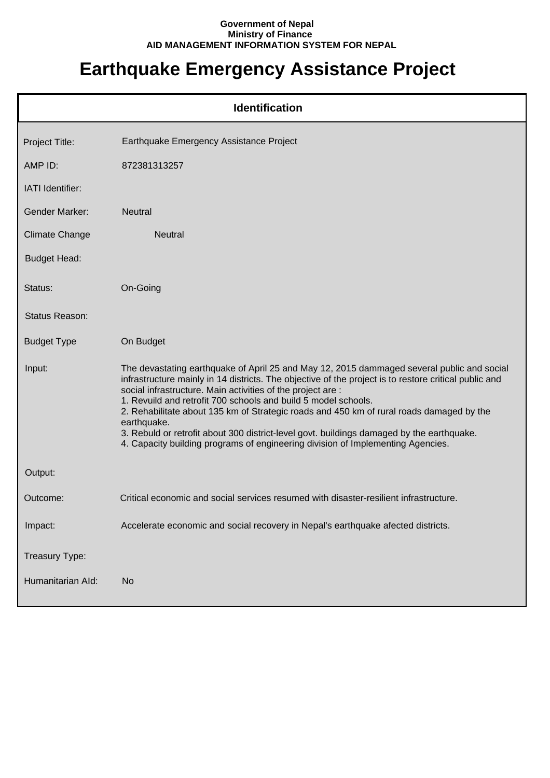## **Government of Nepal Ministry of Finance AID MANAGEMENT INFORMATION SYSTEM FOR NEPAL**

## **Earthquake Emergency Assistance Project**

| <b>Identification</b>   |                                                                                                                                                                                                                                                                                                                                                                                                                                                                                                                                                                                                                                 |  |
|-------------------------|---------------------------------------------------------------------------------------------------------------------------------------------------------------------------------------------------------------------------------------------------------------------------------------------------------------------------------------------------------------------------------------------------------------------------------------------------------------------------------------------------------------------------------------------------------------------------------------------------------------------------------|--|
| Project Title:          | Earthquake Emergency Assistance Project                                                                                                                                                                                                                                                                                                                                                                                                                                                                                                                                                                                         |  |
| AMP ID:                 | 872381313257                                                                                                                                                                                                                                                                                                                                                                                                                                                                                                                                                                                                                    |  |
| <b>IATI</b> Identifier: |                                                                                                                                                                                                                                                                                                                                                                                                                                                                                                                                                                                                                                 |  |
| <b>Gender Marker:</b>   | <b>Neutral</b>                                                                                                                                                                                                                                                                                                                                                                                                                                                                                                                                                                                                                  |  |
| <b>Climate Change</b>   | <b>Neutral</b>                                                                                                                                                                                                                                                                                                                                                                                                                                                                                                                                                                                                                  |  |
| <b>Budget Head:</b>     |                                                                                                                                                                                                                                                                                                                                                                                                                                                                                                                                                                                                                                 |  |
| Status:                 | On-Going                                                                                                                                                                                                                                                                                                                                                                                                                                                                                                                                                                                                                        |  |
| Status Reason:          |                                                                                                                                                                                                                                                                                                                                                                                                                                                                                                                                                                                                                                 |  |
| <b>Budget Type</b>      | On Budget                                                                                                                                                                                                                                                                                                                                                                                                                                                                                                                                                                                                                       |  |
| Input:                  | The devastating earthquake of April 25 and May 12, 2015 dammaged several public and social<br>infrastructure mainly in 14 districts. The objective of the project is to restore critical public and<br>social infrastructure. Main activities of the project are :<br>1. Revuild and retrofit 700 schools and build 5 model schools.<br>2. Rehabilitate about 135 km of Strategic roads and 450 km of rural roads damaged by the<br>earthquake.<br>3. Rebuld or retrofit about 300 district-level govt. buildings damaged by the earthquake.<br>4. Capacity building programs of engineering division of Implementing Agencies. |  |
| Output:                 |                                                                                                                                                                                                                                                                                                                                                                                                                                                                                                                                                                                                                                 |  |
| Outcome:                | Critical economic and social services resumed with disaster-resilient infrastructure.                                                                                                                                                                                                                                                                                                                                                                                                                                                                                                                                           |  |
| Impact:                 | Accelerate economic and social recovery in Nepal's earthquake afected districts.                                                                                                                                                                                                                                                                                                                                                                                                                                                                                                                                                |  |
| Treasury Type:          |                                                                                                                                                                                                                                                                                                                                                                                                                                                                                                                                                                                                                                 |  |
| Humanitarian Ald:       | <b>No</b>                                                                                                                                                                                                                                                                                                                                                                                                                                                                                                                                                                                                                       |  |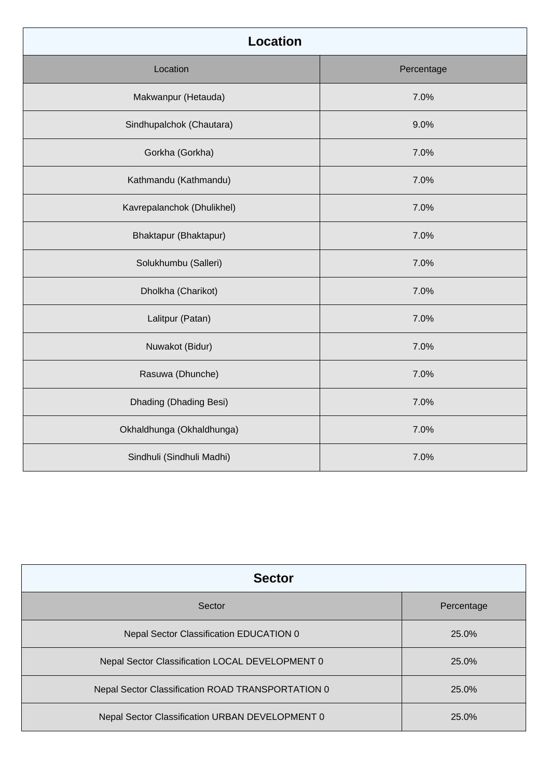| <b>Location</b>            |            |  |
|----------------------------|------------|--|
| Location                   | Percentage |  |
| Makwanpur (Hetauda)        | 7.0%       |  |
| Sindhupalchok (Chautara)   | 9.0%       |  |
| Gorkha (Gorkha)            | 7.0%       |  |
| Kathmandu (Kathmandu)      | 7.0%       |  |
| Kavrepalanchok (Dhulikhel) | 7.0%       |  |
| Bhaktapur (Bhaktapur)      | 7.0%       |  |
| Solukhumbu (Salleri)       | 7.0%       |  |
| Dholkha (Charikot)         | 7.0%       |  |
| Lalitpur (Patan)           | 7.0%       |  |
| Nuwakot (Bidur)            | 7.0%       |  |
| Rasuwa (Dhunche)           | 7.0%       |  |
| Dhading (Dhading Besi)     | 7.0%       |  |
| Okhaldhunga (Okhaldhunga)  | 7.0%       |  |
| Sindhuli (Sindhuli Madhi)  | 7.0%       |  |

| <b>Sector</b>                                     |            |
|---------------------------------------------------|------------|
| Sector                                            | Percentage |
| Nepal Sector Classification EDUCATION 0           | 25.0%      |
| Nepal Sector Classification LOCAL DEVELOPMENT 0   | 25.0%      |
| Nepal Sector Classification ROAD TRANSPORTATION 0 | 25.0%      |
| Nepal Sector Classification URBAN DEVELOPMENT 0   | 25.0%      |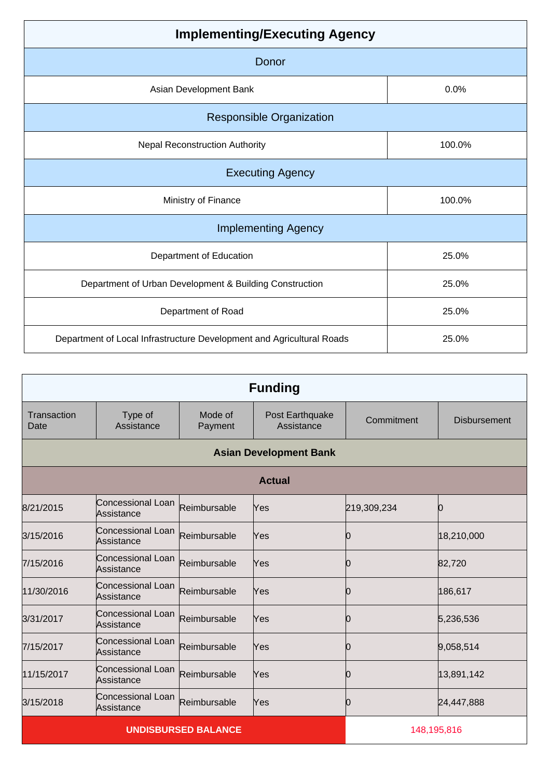| <b>Implementing/Executing Agency</b> |  |  |
|--------------------------------------|--|--|
|                                      |  |  |
| 0.0%                                 |  |  |
|                                      |  |  |
| 100.0%                               |  |  |
| <b>Executing Agency</b>              |  |  |
| 100.0%                               |  |  |
| <b>Implementing Agency</b>           |  |  |
| 25.0%                                |  |  |
| 25.0%                                |  |  |
| 25.0%                                |  |  |
| 25.0%                                |  |  |
|                                      |  |  |

| <b>Funding</b>      |                                 |                    |                               |             |                     |
|---------------------|---------------------------------|--------------------|-------------------------------|-------------|---------------------|
| Transaction<br>Date | Type of<br>Assistance           | Mode of<br>Payment | Post Earthquake<br>Assistance | Commitment  | <b>Disbursement</b> |
|                     | <b>Asian Development Bank</b>   |                    |                               |             |                     |
| <b>Actual</b>       |                                 |                    |                               |             |                     |
| 8/21/2015           | Concessional Loan<br>Assistance | Reimbursable       | Yes                           | 219,309,234 | Ю                   |
| 3/15/2016           | Concessional Loan<br>Assistance | Reimbursable       | Yes                           | O           | 18,210,000          |
| 7/15/2016           | Concessional Loan<br>Assistance | Reimbursable       | Yes                           | Ŋ           | 82,720              |
| 11/30/2016          | Concessional Loan<br>Assistance | Reimbursable       | Yes                           |             | 186,617             |
| 3/31/2017           | Concessional Loan<br>Assistance | Reimbursable       | Yes                           | Ю           | 5,236,536           |
| 7/15/2017           | Concessional Loan<br>Assistance | Reimbursable       | Yes                           | Ю           | 9,058,514           |
| 11/15/2017          | Concessional Loan<br>Assistance | Reimbursable       | Yes                           | Ю           | 13,891,142          |
| 3/15/2018           | Concessional Loan<br>Assistance | Reimbursable       | Yes                           | Ŋ           | 24,447,888          |
|                     | <b>UNDISBURSED BALANCE</b>      |                    |                               | 148,195,816 |                     |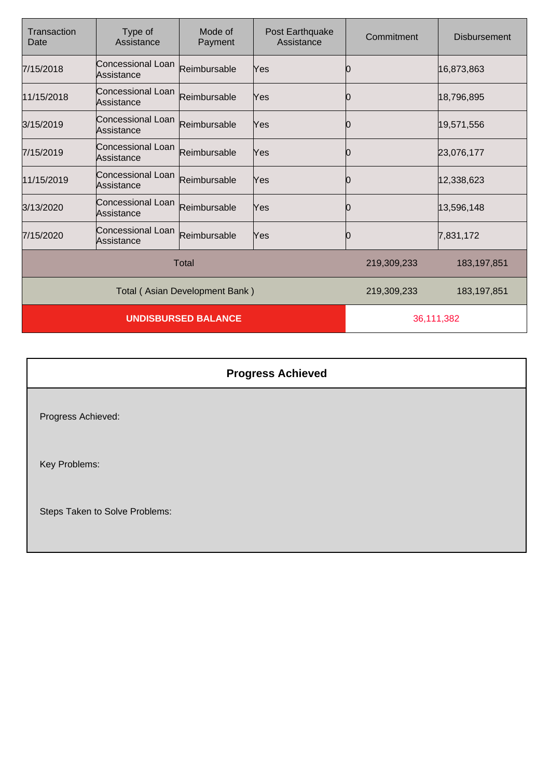| Transaction<br>Date            | Type of<br>Assistance           | Mode of<br>Payment | Post Earthquake<br>Assistance | Commitment    | Disbursement |
|--------------------------------|---------------------------------|--------------------|-------------------------------|---------------|--------------|
| 7/15/2018                      | Concessional Loan<br>Assistance | Reimbursable       | Yes                           |               | 16,873,863   |
| 11/15/2018                     | Concessional Loan<br>Assistance | Reimbursable       | Yes                           | 0             | 18,796,895   |
| 3/15/2019                      | Concessional Loan<br>Assistance | Reimbursable       | Yes                           | 0             | 19,571,556   |
| 7/15/2019                      | Concessional Loan<br>Assistance | Reimbursable       | Yes                           | 0             | 23,076,177   |
| 11/15/2019                     | Concessional Loan<br>Assistance | Reimbursable       | Yes                           | 0             | 12,338,623   |
| 3/13/2020                      | Concessional Loan<br>Assistance | Reimbursable       | Yes                           | 0             | 13,596,148   |
| 7/15/2020                      | Concessional Loan<br>Assistance | Reimbursable       | Yes                           |               | 7,831,172    |
| Total                          |                                 |                    | 219,309,233                   | 183, 197, 851 |              |
| Total (Asian Development Bank) |                                 |                    | 219,309,233                   | 183, 197, 851 |              |
| <b>UNDISBURSED BALANCE</b>     |                                 |                    | 36,111,382                    |               |              |

|                                | <b>Progress Achieved</b> |
|--------------------------------|--------------------------|
| Progress Achieved:             |                          |
| Key Problems:                  |                          |
| Steps Taken to Solve Problems: |                          |